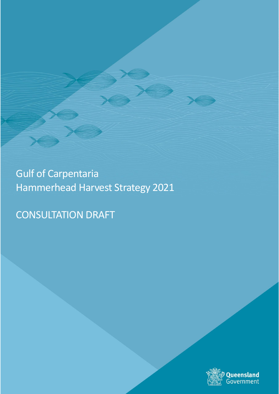Gulf of Carpentaria Hammerhead Harvest Strategy 2021

CONSULTATION DRAFT

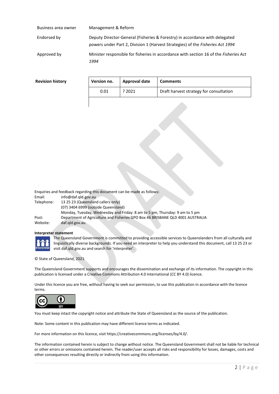| Business area owner | Management & Reform                                                                                                                                                  |
|---------------------|----------------------------------------------------------------------------------------------------------------------------------------------------------------------|
| Endorsed by         | Deputy Director-General (Fisheries & Forestry) in accordance with delegated<br>powers under Part 2, Division 1 (Harvest Strategies) of the <i>Fisheries Act 1994</i> |
| Approved by         | Minister responsible for fisheries in accordance with section 16 of the Fisheries Act<br>1994                                                                        |

#### **Revision history**

| Version no. | Approval date | Comments                                |
|-------------|---------------|-----------------------------------------|
| 0.01        | ? 2021        | Draft harvest strategy for consultation |
|             |               |                                         |

Enquiries and feedback regarding this document can be made as follows:

| Email:     | info@daf.gld.gov.au                                                            |
|------------|--------------------------------------------------------------------------------|
| Telephone: | 13 25 23 (Queensland callers only)                                             |
|            | (07) 3404 6999 (outside Queensland)                                            |
|            | Monday, Tuesday, Wednesday and Friday: 8 am to 5 pm, Thursday: 9 am to 5 pm    |
| Post:      | Department of Agriculture and Fisheries GPO Box 46 BRISBANE QLD 4001 AUSTRALIA |
| Website:   | daf.gld.gov.au                                                                 |

#### **Interpreter statement**



The Queensland Government is committed to providing accessible services to Queenslanders from all culturally and linguistically diverse backgrounds. If you need an interpreter to help you understand this document, call 13 25 23 or visit daf.qld.gov.au and search for 'interpreter'.

© State of Queensland, 2021

The Queensland Government supports and encourages the dissemination and exchange of its information. The copyright in this publication is licensed under a Creative Commons Attribution 4.0 International (CC BY 4.0) licence.

Under this licence you are free, without having to seek our permission, to use this publication in accordance with the licence terms.



You must keep intact the copyright notice and attribute the State of Queensland as the source of the publication.

Note: Some content in this publication may have different licence terms as indicated.

For more information on this licence, visit https://creativecommons.org/licenses/by/4.0/.

The information contained herein is subject to change without notice. The Queensland Government shall not be liable for technical or other errors or omissions contained herein. The reader/user accepts all risks and responsibility for losses, damages, costs and other consequences resulting directly or indirectly from using this information.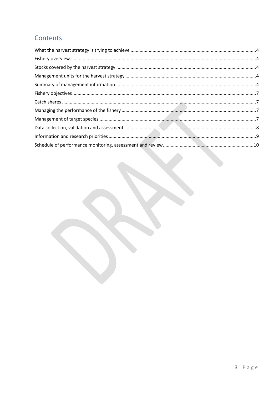# Contents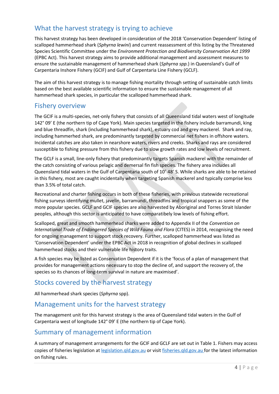### <span id="page-3-0"></span>What the harvest strategy is trying to achieve

This harvest strategy has been developed in consideration of the 2018 'Conservation Dependent' listing of scalloped hammerhead shark (*Sphyrna lewini*) and current reassessment of this listing by the Threatened Species Scientific Committee under the *Environment Protection and Biodiversity Conservation Act 1999*  (EPBC Act). This harvest strategy aims to provide additional management and assessment measures to ensure the sustainable management of hammerhead shark (*Sphyrna spp.*) in Queensland's Gulf of Carpentaria Inshore Fishery (GCIF) and Gulf of Carpentaria Line Fishery (GCLF).

The aim of this harvest strategy is to manage fishing mortality through setting of sustainable catch limits based on the best available scientific information to ensure the sustainable management of all hammerhead shark species, in particular the scalloped hammerhead shark.

#### <span id="page-3-1"></span>Fishery overview

The GCIF is a multi-species, net-only fishery that consists of all Queensland tidal waters west of longitude 142° 09' E (the northern tip of Cape York). Main species targeted in the fishery include barramundi, king and blue threadfin, shark (including hammerhead shark), estuary cod and grey mackerel. Shark and ray, including hammerhed shark, are predominantly targeted by commercial net fishers in offshore waters. Incidental catches are also taken in nearshore waters, rivers and creeks. Sharks and rays are considered susceptible to fishing pressure from this fishery due to slow growth rates and low levels of recruitment.

The GCLF is a small, line-only fishery that predominantly targets Spanish mackerel with the remainder of the catch consisting of various pelagic and demersal fin fish species. The fishery area includes all Queensland tidal waters in the Gulf of Carpentaria south of 10˚ 48' S. While sharks are able to be retained in this fishery, most are caught incidentally when targeting Spanish mackerel and typically comprise less than 3.5% of total catch.

Recreational and charter fishing occurs in both of these fisheries, with previous statewide recreational fishing surveys identifying mullet, javelin, barramundi, threadfins and tropical snappers as some of the more popular species. GCLF and GCIF species are also harvested by Aboriginal and Torres Strait Islander peoples, although this sector is anticipated to have comparatibely low levels of fishing effort.

Scalloped, great and smooth hammerhead sharks were added to Appendix II of the *Convention on International Trade of Endangered Species of Wild Fauna and Flora* (CITES) in 2014, recognising the need for ongoing management to support stock recovery. Further, scalloped hammerhead was listed as 'Conservation Dependent' under the EPBC Act in 2018 in recognition of global declines in scalloped hammerhead stocks and their vulnerable life history traits.

A fish species may be listed as Conservation Dependent if it is the 'focus of a plan of management that provides for management actions necessary to stop the decline of, and support the recovery of, the species so its chances of long-term survival in nature are maximised'.

### <span id="page-3-2"></span>Stocks covered by the harvest strategy

All hammerhead shark species (*Sphyrna* spp).

### <span id="page-3-3"></span>Management units for the harvest strategy

The management unit for this harvest strategy is the area of Queensland tidal waters in the Gulf of Carpentaria west of longitude 142° 09' E (the northern tip of Cape York).

### <span id="page-3-4"></span>Summary of management information

A summary of management arrangements for the GCIF and GCLF are set out in Table 1. Fishers may access copies of fisheries legislation at [legislation.qld.gov.au](http://legislation.qld.gov.au/) or visit [fisheries.qld.gov.au](http://www.fisheries.qld.gov.au/) for the latest information on fishing rules.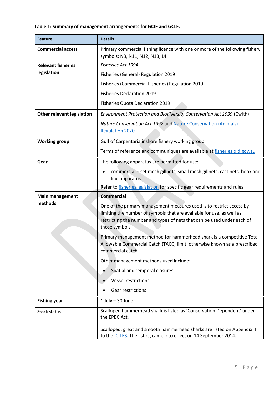### **Table 1: Summary of management arrangements for GCIF and GCLF.**

| <b>Feature</b>                              | <b>Details</b>                                                                                                                                                                                                                             |  |
|---------------------------------------------|--------------------------------------------------------------------------------------------------------------------------------------------------------------------------------------------------------------------------------------------|--|
| <b>Commercial access</b>                    | Primary commercial fishing licence with one or more of the following fishery<br>symbols: N3, N11, N12, N13, L4                                                                                                                             |  |
| <b>Relevant fisheries</b>                   | Fisheries Act 1994                                                                                                                                                                                                                         |  |
| legislation                                 | Fisheries (General) Regulation 2019                                                                                                                                                                                                        |  |
|                                             | Fisheries (Commercial Fisheries) Regulation 2019                                                                                                                                                                                           |  |
|                                             | <b>Fisheries Declaration 2019</b>                                                                                                                                                                                                          |  |
|                                             | Fisheries Quota Declaration 2019                                                                                                                                                                                                           |  |
| <b>Other relevant legislation</b>           | Environment Protection and Biodiversity Conservation Act 1999 (Cwlth)                                                                                                                                                                      |  |
|                                             | Nature Conservation Act 1992 and Nature Conservation (Animals)<br><b>Regulation 2020</b>                                                                                                                                                   |  |
| <b>Working group</b>                        | Gulf of Carpentaria inshore fishery working group.                                                                                                                                                                                         |  |
|                                             | Terms of reference and communiques are available at fisheries.gld.gov.au                                                                                                                                                                   |  |
| Gear                                        | The following apparatus are permitted for use:                                                                                                                                                                                             |  |
|                                             | commercial - set mesh gillnets, small mesh gillnets, cast nets, hook and<br>line apparatus                                                                                                                                                 |  |
|                                             | Refer to fisheries legislation for specific gear requirements and rules                                                                                                                                                                    |  |
| <b>Commercial</b><br><b>Main management</b> |                                                                                                                                                                                                                                            |  |
| methods                                     | One of the primary management measures used is to restrict access by<br>limiting the number of symbols that are available for use, as well as<br>restricting the number and types of nets that can be used under each of<br>those symbols. |  |
|                                             | Primary management method for hammerhead shark is a competitive Total<br>Allowable Commercial Catch (TACC) limit, otherwise known as a prescribed<br>commercial catch.                                                                     |  |
|                                             | Other management methods used include:                                                                                                                                                                                                     |  |
|                                             | Spatial and temporal closures                                                                                                                                                                                                              |  |
|                                             | <b>Vessel restrictions</b>                                                                                                                                                                                                                 |  |
|                                             | Gear restrictions                                                                                                                                                                                                                          |  |
| <b>Fishing year</b>                         | $1$ July $-$ 30 June                                                                                                                                                                                                                       |  |
| <b>Stock status</b>                         | Scalloped hammerhead shark is listed as 'Conservation Dependent' under<br>the EPBC Act.                                                                                                                                                    |  |
|                                             | Scalloped, great and smooth hammerhead sharks are listed on Appendix II<br>to the CITES. The listing came into effect on 14 September 2014.                                                                                                |  |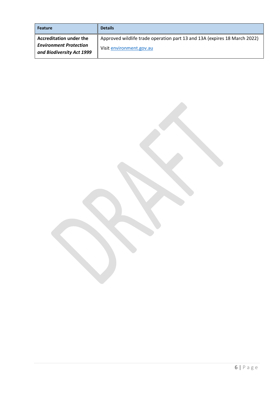| <b>Feature</b>                                             | <b>Details</b>                                                            |
|------------------------------------------------------------|---------------------------------------------------------------------------|
| <b>Accreditation under the</b>                             | Approved wildlife trade operation part 13 and 13A (expires 18 March 2022) |
| <b>Environment Protection</b><br>and Biodiversity Act 1999 | Visit environment.gov.au                                                  |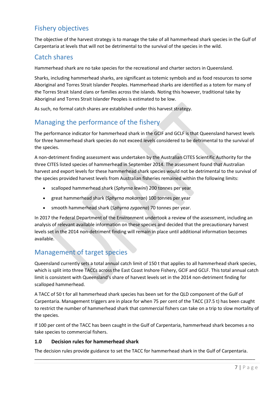## <span id="page-6-0"></span>Fishery objectives

The objective of the harvest strategy is to manage the take of all hammerhead shark species in the Gulf of Carpentaria at levels that will not be detrimental to the survival of the species in the wild.

### <span id="page-6-1"></span>Catch shares

Hammerhead shark are no take species for the recreational and charter sectors in Queensland.

Sharks, including hammerhead sharks, are significant as totemic symbols and as food resources to some Aboriginal and Torres Strait Islander Peoples. Hammerhead sharks are identified as a totem for many of the Torres Strait Island clans or families across the islands. Noting this however, traditional take by Aboriginal and Torres Strait Islander Peoples is estimated to be low.

As such, no formal catch shares are established under this harvest strategy.

# <span id="page-6-2"></span>Managing the performance of the fishery

The performance indicator for hammerhead shark in the GCIF and GCLF is that Queensland harvest levels for three hammerhead shark species do not exceed levels considered to be detrimental to the survival of the species.

A non-detriment finding assessment was undertaken by the Australian CITES Scientific Authority for the three CITES listed species of hammerhead in September 2014. The assessment found that Australian harvest and export levels for these hammerhead shark species would not be detrimental to the survival of the species provided harvest levels from Australian fisheries remained within the following limits:

- scalloped hammerhead shark (*Sphyrna lewini*) 200 tonnes per year
- great hammerhead shark (*Sphyrna mokarran*) 100 tonnes per year
- smooth hammerhead shark (*Sphyrna zygaena*) 70 tonnes per year.

In 2017 the Federal Department of the Environment undertook a review of the assessment, including an analysis of relevant available information on these species and decided that the precautionary harvest levels set in the 2014 non-detriment finding will remain in place until additional information becomes available.

### <span id="page-6-3"></span>Management of target species

Queensland currently sets a total annual catch limit of 150 t that applies to all hammerhead shark species, which is split into three TACCs across the East Coast Inshore Fishery, GCIF and GCLF. This total annual catch limit is consistent with Queensland's share of harvest levels set in the 2014 non-detriment finding for scalloped hammerhead.

A TACC of 50 t for all hammerhead shark species has been set for the QLD component of the Gulf of Carpentaria. Management triggers are in place for when 75 per cent of the TACC (37.5 t) has been caught to restrict the number of hammerhead shark that commercial fishers can take on a trip to slow mortality of the species.

If 100 per cent of the TACC has been caught in the Gulf of Carpentaria, hammerhead shark becomes a no take species to commercial fishers.

#### **1.0 Decision rules for hammerhead shark**

The decision rules provide guidance to set the TACC for hammerhead shark in the Gulf of Carpentaria.

\_\_\_\_\_\_\_\_\_\_\_\_\_\_\_\_\_\_\_\_\_\_\_\_\_\_\_\_\_\_\_\_\_\_\_\_\_\_\_\_\_\_\_\_\_\_\_\_\_\_\_\_\_\_\_\_\_\_\_\_\_\_\_\_\_\_\_\_\_\_\_\_\_\_\_\_\_\_\_\_\_\_\_\_\_\_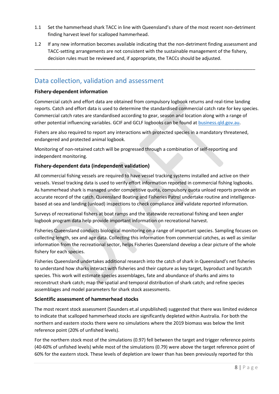- 1.1 Set the hammerhead shark TACC in line with Queensland's share of the most recent non-detriment finding harvest level for scalloped hammerhead.
- 1.2 If any new information becomes available indicating that the non-detriment finding assessment and TACC-setting arrangements are not consistent with the sustainable management of the fishery, decision rules must be reviewed and, if appropriate, the TACCs should be adjusted.

\_\_\_\_\_\_\_\_\_\_\_\_\_\_\_\_\_\_\_\_\_\_\_\_\_\_\_\_\_\_\_\_\_\_\_\_\_\_\_\_\_\_\_\_\_\_\_\_\_\_\_\_\_\_\_\_\_\_\_\_\_\_\_\_\_\_\_\_\_\_\_\_\_\_\_\_\_\_\_\_\_\_\_\_\_\_

#### <span id="page-7-0"></span>Data collection, validation and assessment

#### **Fishery-dependent information**

Commercial catch and effort data are obtained from compulsory logbook returns and real-time landing reports. Catch and effort data is used to determine the standardised commercial catch rate for key species. Commercial catch rates are standardised according to gear, season and location along with a range of other potential influencing variables. GCIF and GCLF logbooks can be found at [business.qld.gov.au.](http://www.business.qld.gov.au/industries/farms-fishing-forestry/fisheries/monitoring-reporting/requirements/logbooks)

Fishers are also required to report any interactions with protected species in a mandatory threatened, endangered and protected animal logbook.

Monitoring of non-retained catch will be progressed through a combination of self-reporting and independent monitoring.

#### **Fishery-dependent data (independent validation)**

All commercial fishing vessels are required to have vessel tracking systems installed and active on their vessels. Vessel tracking data is used to verify effort information reported in commercial fishing logbooks. As hammerhead shark is managed under competitive quota, compulsory quota unload reports provide an accurate record of the catch. Queensland Boating and Fisheries Patrol undertake routine and intelligencebased at-sea and landing (unload) inspections to check compliance and validate reported information.

Surveys of recreational fishers at boat ramps and the statewide recreational fishing and keen angler logbook program data help provide important information on recreational harvest.

Fisheries Queensland conducts biological monitoring on a range of important species. Sampling focuses on collecting length, sex and age data. Collecting this information from commercial catches, as well as similar information from the recreational sector, helps Fisheries Queensland develop a clear picture of the whole fishery for each species.

Fisheries Queensland undertakes additional research into the catch of shark in Queensland's net fisheries to understand how sharks interact with fisheries and their capture as key target, byproduct and bycatch species. This work will estimate species assemblages, fate and abundance of sharks and aims to reconstruct shark catch; map the spatial and temporal distribution of shark catch; and refine species assemblages and model parameters for shark stock assessments.

#### **Scientific assessment of hammerhead stocks**

The most recent stock assessment (Saunders et.al unpublished) suggested that there was limited evidence to indicate that scalloped hammerhead stocks are significantly depleted within Australia. For both the northern and eastern stocks there were no simulations where the 2019 biomass was below the limit reference point (20% of unfished levels).

For the northern stock most of the simulations (0.97) fell between the target and trigger reference points (40-60% of unfished levels) while most of the simulations (0.79) were above the target reference point of 60% for the eastern stock. These levels of depletion are lower than has been previously reported for this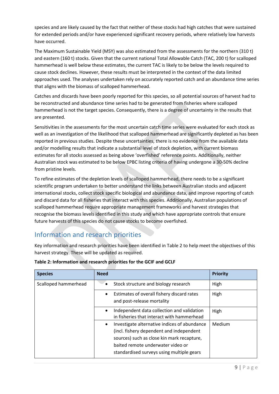species and are likely caused by the fact that neither of these stocks had high catches that were sustained for extended periods and/or have experienced significant recovery periods, where relatively low harvests have occurred.

The Maximum Sustainable Yield (MSY) was also estimated from the assessments for the northern (310 t) and eastern (160 t) stocks. Given that the current national Total Allowable Catch (TAC, 200 t) for scalloped hammerhead is well below these estimates, the current TAC is likely to be below the levels required to cause stock declines. However, these results must be interpreted in the context of the data limited approaches used. The analyses undertaken rely on accurately reported catch and an abundance time series that aligns with the biomass of scalloped hammerhead.

Catches and discards have been poorly reported for this species, so all potential sources of harvest had to be reconstructed and abundance time series had to be generated from fisheries where scalloped hammerhead is not the target species. Consequently, there is a degree of uncertainty in the results that are presented.

Sensitivities in the assessments for the most uncertain catch time series were evaluated for each stock as well as an investigation of the likelihood that scalloped hammerhead are significantly depleted as has been reported in previous studies. Despite these uncertainties, there is no evidence from the available data and/or modelling results that indicate a substantial level of stock depletion, with current biomass estimates for all stocks assessed as being above 'overfished' reference points. Additionally, neither Australian stock was estimated to be below EPBC listing criteria of having undergone a 30-50% decline from pristine levels.

To refine estimates of the depletion levels of scalloped hammerhead, there needs to be a significant scientific program undertaken to better understand the links between Australian stocks and adjacent international stocks, collect stock specific biological and abundance data, and improve reporting of catch and discard data for all fisheries that interact with this species. Additionally, Australian populations of scalloped hammerhead require appropriate management frameworks and harvest strategies that recognise the biomass levels identified in this study and which have appropriate controls that ensure future harvests of this species do not cause stocks to become overfished.

### <span id="page-8-0"></span>Information and research priorities

Key information and research priorities have been identified in Table 2 to help meet the objectives of this harvest strategy. These will be updated as required.

| <b>Species</b>       | <b>Need</b>                                                                                                                                                                                                                           | <b>Priority</b> |
|----------------------|---------------------------------------------------------------------------------------------------------------------------------------------------------------------------------------------------------------------------------------|-----------------|
| Scalloped hammerhead | Stock structure and biology research                                                                                                                                                                                                  | High            |
|                      | Estimates of overall fishery discard rates<br>$\bullet$<br>and post-release mortality                                                                                                                                                 | High            |
|                      | Independent data collection and validation<br>$\bullet$<br>in fisheries that interact with hammerhead                                                                                                                                 | High            |
|                      | Investigate alternative indices of abundance<br>$\bullet$<br>(incl. fishery dependent and independent<br>sources) such as close kin mark recapture,<br>baited remote underwater video or<br>standardised surveys using multiple gears | Medium          |

#### **Table 2: Information and research priorities for the GCIF and GCLF**